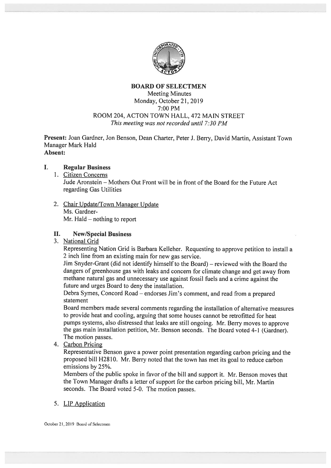

# BOARD OF SELECTMEN Meeting Minutes Monday, October 21, 2019 7:00 PM ROOM 204, ACTON TOWN HALL, 472 MAIN STREET This meeting was not recorded until 7:30 FM

Present: Joan Gardner, Jon Benson, Dean Charter, Peter J. Berry, David Martin, Assistant Town Manager Mark Hald Absent:

#### $\mathbf{L}$ Regular Business

- 1. Citizen Concerns Jude Aronstein — Mothers Out Front will be in front of the Board for the Future Act regarding Gas Utilities
- 2. Chair Update/Town Manager Update Ms. Gardner Mr. Hald — nothing to repor<sup>t</sup>

# II. New/Special Business

3. National Grid

Representing Nation Grid is Barbara Kelleher. Requesting to approve petition to install <sup>a</sup> <sup>2</sup> inch line from an existing main for new gas service.

Jim Snyder-Grant (did not identify himself to the Board) — reviewed with the Board the dangers of greenhouse gas with leaks and concern for climate change and ge<sup>t</sup> away from methane natural gas and unnecessary use against fossil fuels and <sup>a</sup> crime against the future and urges Board to deny the installation.

Debra Symes, Concord Road — endorses Jim's comment, and read from <sup>a</sup> prepare<sup>d</sup> statement

Board members made several comments regarding the installation of alternative measures to provide heat and cooling, arguing that some houses cannot be retrofitted for heat pumps systems, also distressed that leaks are still ongoing. Mr. Berry moves to approve the gas main installation petition, Mr. Benson seconds. The Board voted 4-1 (Gardner). The motion passes.

4. Carbon Pricing

Representative Benson gave <sup>a</sup> power point presentation regarding carbon pricing and the propose<sup>d</sup> bill H2\$10. Mr. Berry noted that the town has met its goa<sup>l</sup> to reduce carbon emissions by 25%.

Members of the public spoke in favor of the bill and suppor<sup>t</sup> it. Mr. Benson moves that the Town Manager drafts <sup>a</sup> letter of suppor<sup>t</sup> for the carbon pricing bill, Mr. Martin seconds. The Board voted 5-0. The motion passes.

5. LIP Application

October 21,2019 Board of Selectmen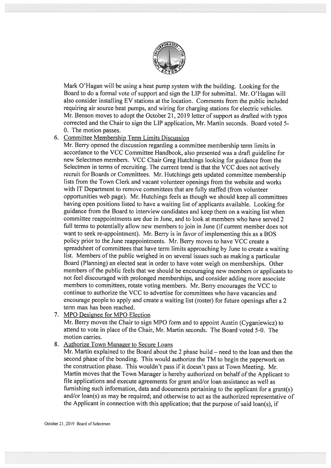

Mark O'Hagan will be using <sup>a</sup> heat pump system with the building. Looking for the Board to do <sup>a</sup> formal vote of suppor<sup>t</sup> and sign the LIP for submittal. Mr. O'Hagan will also consider installing EV stations at the location. Comments from the public included requiring air source heat pumps, and wiring for charging stations for electric vehicles. Mr. Benson moves to adopt the October 21, 2019 letter of support as drafted with typos corrected and the Chair to sign the LIP application, Mr. Martin seconds. Board voted 5- 0. The motion passes.

### 6. Committee Membership Term Limits Discussion

Mr. Berry opened the discussion regarding <sup>a</sup> committee membership term limits in accordance to the VCC Committee Handbook, also presented was <sup>a</sup> draft guideline for new Selectmen members. VCC Chair Greg Hutchings looking for guidance from the Selectmen in terms of recruiting. The current trend is that the VCC does not actively recruit for Boards or Committees. Mr. Hutchings gets updated committee membership lists from the Town Clerk and vacant volunteer openings from the website and works with IT Department to remove committees that are fully staffed (from volunteer opportunities web page). Mr. Hutchings feels as though we should keep all committees having open positions listed to have <sup>a</sup> waiting list of applicants available. Looking for guidance from the Board to interview candidates and keep them on <sup>a</sup> waiting list when committee reappointments are due in June, and to look at members who have served 2 full terms to potentially allow new members to join in June (if current member does not want to seek re-appointment). Mr. Berry is in favor of implementing this as <sup>a</sup> BOS policy prior to the June reappointments. Mr. Berry moves to have VCC create <sup>a</sup> spreadsheet of committees that have term limits approaching by June to create <sup>a</sup> waiting list. Members of the public weighed in on several issues such as making a particular Board (Planning) an elected seat in order to have voter weigh on memberships. Other members of the public feels that we should be encouraging new members or applicants to not feel discouraged with prolonged memberships, and consider adding more associate members to committees, rotate voting members. Mr. Berry encourages the VCC to continue to authorize the VCC to advertise for committees who have vacancies and encourage people to apply and create <sup>a</sup> waiting list (roster) for future openings after <sup>a</sup> <sup>2</sup> term max has been reached.

7. MPO Designee for MPO Election

Mr. Berry moves the Chair to sign MPO form and to appoint Austin (Cyganiewicz) to attend to vote in place of the Chair, Mr. Martin seconds. The Board voted 5-0. The motion carries.

8. Authorize Town Manager to Secure Loans

Mr. Martin explained to the Board about the <sup>2</sup> <sup>p</sup>hase build — need to the loan and then the second <sup>p</sup>hase of the bonding. This would authorize the TM to begin the paperwor<sup>k</sup> on the construction <sup>p</sup>hase. This wouldn't pass if it doesn't pass at Town Meeting. Mr. Martin moves that the Town Manager is hereby authorized on behalf of the Applicant to file applications and execute agreements for gran<sup>t</sup> and/or loan assistance as well as furnishing such information, data and documents pertaining to the applicant for <sup>a</sup> grant(s) and/or loan(s) as may be required; and otherwise to act as the authorized representative of the Applicant in connection with this application; that the purpose of said loan(s), if